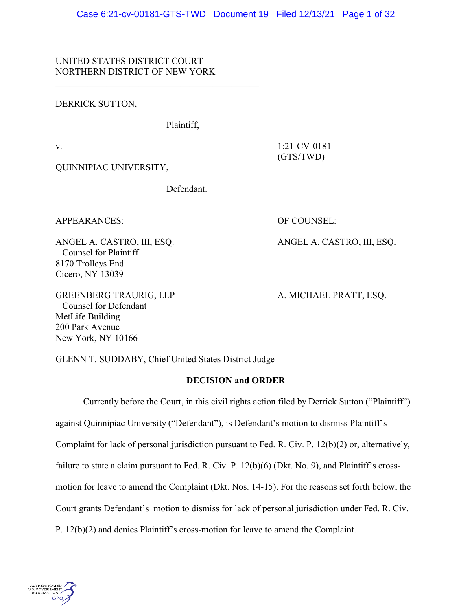## UNITED STATES DISTRICT COURT NORTHERN DISTRICT OF NEW YORK

DERRICK SUTTON,

Plaintiff,

v. 1:21-CV-0181 (GTS/TWD)

QUINNIPIAC UNIVERSITY,

Defendant.

 $\mathcal{L}_\mathcal{L}$  , and the set of the set of the set of the set of the set of the set of the set of the set of the set of the set of the set of the set of the set of the set of the set of the set of the set of the set of th

APPEARANCES: OF COUNSEL:

 Counsel for Plaintiff 8170 Trolleys End Cicero, NY 13039

ANGEL A. CASTRO, III, ESQ. ANGEL A. CASTRO, III, ESQ.

GREENBERG TRAURIG, LLP A. MICHAEL PRATT, ESQ. Counsel for Defendant MetLife Building 200 Park Avenue New York, NY 10166

GLENN T. SUDDABY, Chief United States District Judge

## **DECISION and ORDER**

Currently before the Court, in this civil rights action filed by Derrick Sutton ("Plaintiff") against Quinnipiac University ("Defendant"), is Defendant's motion to dismiss Plaintiff's Complaint for lack of personal jurisdiction pursuant to Fed. R. Civ. P. 12(b)(2) or, alternatively, failure to state a claim pursuant to Fed. R. Civ. P. 12(b)(6) (Dkt. No. 9), and Plaintiff's crossmotion for leave to amend the Complaint (Dkt. Nos. 14-15). For the reasons set forth below, the Court grants Defendant's motion to dismiss for lack of personal jurisdiction under Fed. R. Civ. P. 12(b)(2) and denies Plaintiff's cross-motion for leave to amend the Complaint.

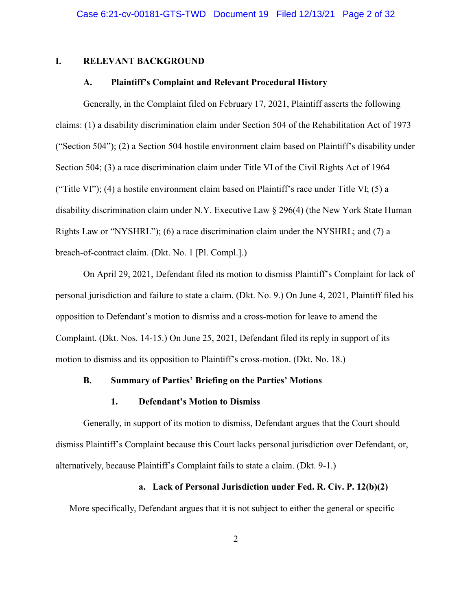#### **I. RELEVANT BACKGROUND**

## **A. Plaintiff's Complaint and Relevant Procedural History**

Generally, in the Complaint filed on February 17, 2021, Plaintiff asserts the following claims: (1) a disability discrimination claim under Section 504 of the Rehabilitation Act of 1973 ("Section 504"); (2) a Section 504 hostile environment claim based on Plaintiff's disability under Section 504; (3) a race discrimination claim under Title VI of the Civil Rights Act of 1964 ("Title VI"); (4) a hostile environment claim based on Plaintiff's race under Title VI; (5) a disability discrimination claim under N.Y. Executive Law § 296(4) (the New York State Human Rights Law or "NYSHRL"); (6) a race discrimination claim under the NYSHRL; and (7) a breach-of-contract claim. (Dkt. No. 1 [Pl. Compl.].)

On April 29, 2021, Defendant filed its motion to dismiss Plaintiff's Complaint for lack of personal jurisdiction and failure to state a claim. (Dkt. No. 9.) On June 4, 2021, Plaintiff filed his opposition to Defendant's motion to dismiss and a cross-motion for leave to amend the Complaint. (Dkt. Nos. 14-15.) On June 25, 2021, Defendant filed its reply in support of its motion to dismiss and its opposition to Plaintiff's cross-motion. (Dkt. No. 18.)

### **B. Summary of Parties' Briefing on the Parties' Motions**

#### **1. Defendant's Motion to Dismiss**

Generally, in support of its motion to dismiss, Defendant argues that the Court should dismiss Plaintiff's Complaint because this Court lacks personal jurisdiction over Defendant, or, alternatively, because Plaintiff's Complaint fails to state a claim. (Dkt. 9-1.)

#### **a. Lack of Personal Jurisdiction under Fed. R. Civ. P. 12(b)(2)**

More specifically, Defendant argues that it is not subject to either the general or specific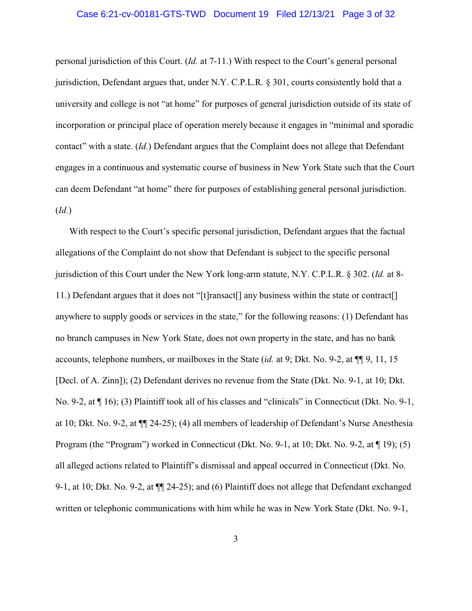#### Case 6:21-cv-00181-GTS-TWD Document 19 Filed 12/13/21 Page 3 of 32

personal jurisdiction of this Court. (*Id.* at 7-11.) With respect to the Court's general personal jurisdiction, Defendant argues that, under N.Y. C.P.L.R. § 301, courts consistently hold that a university and college is not "at home" for purposes of general jurisdiction outside of its state of incorporation or principal place of operation merely because it engages in "minimal and sporadic contact" with a state. (*Id.*) Defendant argues that the Complaint does not allege that Defendant engages in a continuous and systematic course of business in New York State such that the Court can deem Defendant "at home" there for purposes of establishing general personal jurisdiction. (*Id.*)

With respect to the Court's specific personal jurisdiction, Defendant argues that the factual allegations of the Complaint do not show that Defendant is subject to the specific personal jurisdiction of this Court under the New York long-arm statute, N.Y. C.P.L.R. § 302. (*Id.* at 8- 11.) Defendant argues that it does not "[t]ransact[] any business within the state or contract[] anywhere to supply goods or services in the state," for the following reasons: (1) Defendant has no branch campuses in New York State, does not own property in the state, and has no bank accounts, telephone numbers, or mailboxes in the State (*id.* at 9; Dkt. No. 9-2, at ¶¶ 9, 11, 15 [Decl. of A. Zinn]); (2) Defendant derives no revenue from the State (Dkt. No. 9-1, at 10; Dkt. No. 9-2, at ¶ 16); (3) Plaintiff took all of his classes and "clinicals" in Connecticut (Dkt. No. 9-1, at 10; Dkt. No. 9-2, at ¶¶ 24-25); (4) all members of leadership of Defendant's Nurse Anesthesia Program (the "Program") worked in Connecticut (Dkt. No. 9-1, at 10; Dkt. No. 9-2, at ¶ 19); (5) all alleged actions related to Plaintiff's dismissal and appeal occurred in Connecticut (Dkt. No. 9-1, at 10; Dkt. No. 9-2, at ¶¶ 24-25); and (6) Plaintiff does not allege that Defendant exchanged written or telephonic communications with him while he was in New York State (Dkt. No. 9-1,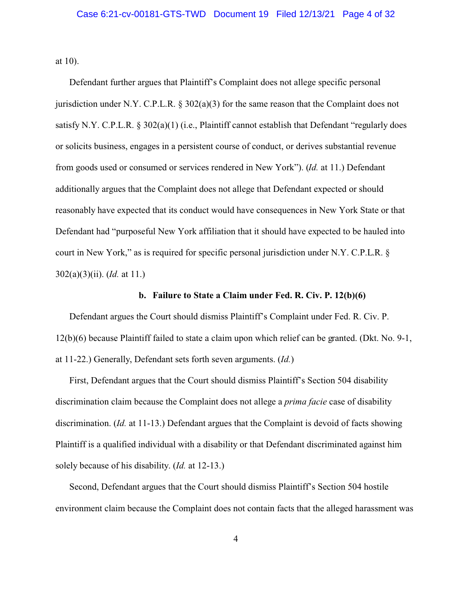at 10).

Defendant further argues that Plaintiff's Complaint does not allege specific personal jurisdiction under N.Y. C.P.L.R.  $\S 302(a)(3)$  for the same reason that the Complaint does not satisfy N.Y. C.P.L.R. § 302(a)(1) (i.e., Plaintiff cannot establish that Defendant "regularly does or solicits business, engages in a persistent course of conduct, or derives substantial revenue from goods used or consumed or services rendered in New York"). (*Id.* at 11.) Defendant additionally argues that the Complaint does not allege that Defendant expected or should reasonably have expected that its conduct would have consequences in New York State or that Defendant had "purposeful New York affiliation that it should have expected to be hauled into court in New York," as is required for specific personal jurisdiction under N.Y. C.P.L.R. § 302(a)(3)(ii). (*Id.* at 11.)

#### **b. Failure to State a Claim under Fed. R. Civ. P. 12(b)(6)**

Defendant argues the Court should dismiss Plaintiff's Complaint under Fed. R. Civ. P. 12(b)(6) because Plaintiff failed to state a claim upon which relief can be granted. (Dkt. No. 9-1, at 11-22.) Generally, Defendant sets forth seven arguments. (*Id.*)

First, Defendant argues that the Court should dismiss Plaintiff's Section 504 disability discrimination claim because the Complaint does not allege a *prima facie* case of disability discrimination. (*Id.* at 11-13.) Defendant argues that the Complaint is devoid of facts showing Plaintiff is a qualified individual with a disability or that Defendant discriminated against him solely because of his disability. (*Id.* at 12-13.)

Second, Defendant argues that the Court should dismiss Plaintiff's Section 504 hostile environment claim because the Complaint does not contain facts that the alleged harassment was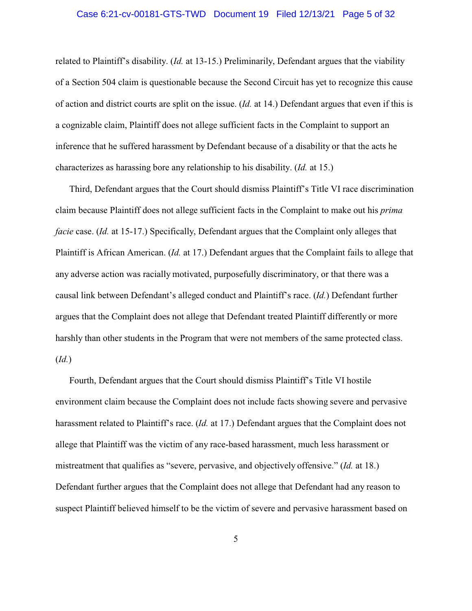#### Case 6:21-cv-00181-GTS-TWD Document 19 Filed 12/13/21 Page 5 of 32

related to Plaintiff's disability. (*Id.* at 13-15.) Preliminarily, Defendant argues that the viability of a Section 504 claim is questionable because the Second Circuit has yet to recognize this cause of action and district courts are split on the issue. (*Id.* at 14.) Defendant argues that even if this is a cognizable claim, Plaintiff does not allege sufficient facts in the Complaint to support an inference that he suffered harassment by Defendant because of a disability or that the acts he characterizes as harassing bore any relationship to his disability. (*Id.* at 15.)

Third, Defendant argues that the Court should dismiss Plaintiff's Title VI race discrimination claim because Plaintiff does not allege sufficient facts in the Complaint to make out his *prima facie* case. (*Id.* at 15-17.) Specifically, Defendant argues that the Complaint only alleges that Plaintiff is African American. (*Id.* at 17.) Defendant argues that the Complaint fails to allege that any adverse action was racially motivated, purposefully discriminatory, or that there was a causal link between Defendant's alleged conduct and Plaintiff's race. (*Id.*) Defendant further argues that the Complaint does not allege that Defendant treated Plaintiff differently or more harshly than other students in the Program that were not members of the same protected class. (*Id.*)

Fourth, Defendant argues that the Court should dismiss Plaintiff's Title VI hostile environment claim because the Complaint does not include facts showing severe and pervasive harassment related to Plaintiff's race. (*Id.* at 17.) Defendant argues that the Complaint does not allege that Plaintiff was the victim of any race-based harassment, much less harassment or mistreatment that qualifies as "severe, pervasive, and objectively offensive." (*Id.* at 18.) Defendant further argues that the Complaint does not allege that Defendant had any reason to suspect Plaintiff believed himself to be the victim of severe and pervasive harassment based on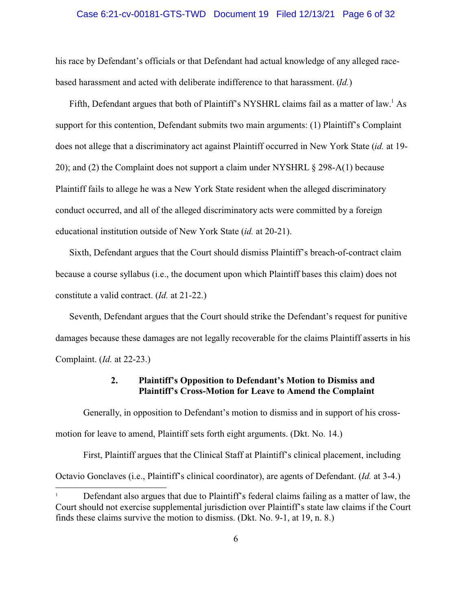#### Case 6:21-cv-00181-GTS-TWD Document 19 Filed 12/13/21 Page 6 of 32

his race by Defendant's officials or that Defendant had actual knowledge of any alleged racebased harassment and acted with deliberate indifference to that harassment. (*Id.*)

Fifth, Defendant argues that both of Plaintiff's NYSHRL claims fail as a matter of law.<sup>1</sup> As support for this contention, Defendant submits two main arguments: (1) Plaintiff's Complaint does not allege that a discriminatory act against Plaintiff occurred in New York State (*id.* at 19- 20); and (2) the Complaint does not support a claim under NYSHRL § 298-A(1) because Plaintiff fails to allege he was a New York State resident when the alleged discriminatory conduct occurred, and all of the alleged discriminatory acts were committed by a foreign educational institution outside of New York State (*id.* at 20-21).

Sixth, Defendant argues that the Court should dismiss Plaintiff's breach-of-contract claim because a course syllabus (i.e., the document upon which Plaintiff bases this claim) does not constitute a valid contract. (*Id.* at 21-22.)

Seventh, Defendant argues that the Court should strike the Defendant's request for punitive damages because these damages are not legally recoverable for the claims Plaintiff asserts in his Complaint. (*Id.* at 22-23.)

## **2. Plaintiff's Opposition to Defendant's Motion to Dismiss and Plaintiff's Cross-Motion for Leave to Amend the Complaint**

Generally, in opposition to Defendant's motion to dismiss and in support of his crossmotion for leave to amend, Plaintiff sets forth eight arguments. (Dkt. No. 14.)

First, Plaintiff argues that the Clinical Staff at Plaintiff's clinical placement, including Octavio Gonclaves (i.e., Plaintiff's clinical coordinator), are agents of Defendant. (*Id.* at 3-4.)

<sup>1</sup> Defendant also argues that due to Plaintiff's federal claims failing as a matter of law, the Court should not exercise supplemental jurisdiction over Plaintiff's state law claims if the Court finds these claims survive the motion to dismiss. (Dkt. No. 9-1, at 19, n. 8.)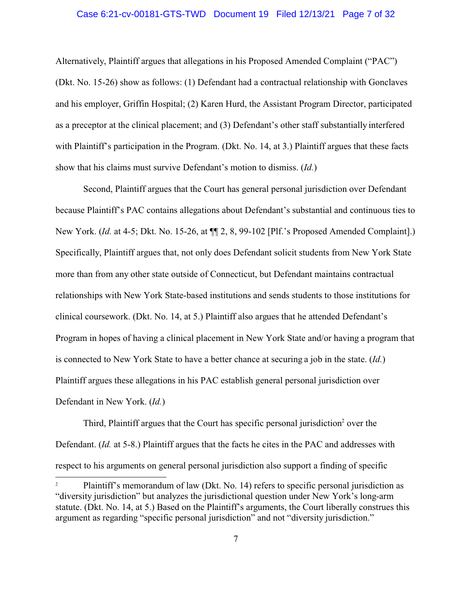#### Case 6:21-cv-00181-GTS-TWD Document 19 Filed 12/13/21 Page 7 of 32

Alternatively, Plaintiff argues that allegations in his Proposed Amended Complaint ("PAC") (Dkt. No. 15-26) show as follows: (1) Defendant had a contractual relationship with Gonclaves and his employer, Griffin Hospital; (2) Karen Hurd, the Assistant Program Director, participated as a preceptor at the clinical placement; and (3) Defendant's other staff substantially interfered with Plaintiff's participation in the Program. (Dkt. No. 14, at 3.) Plaintiff argues that these facts show that his claims must survive Defendant's motion to dismiss. (*Id.*)

Second, Plaintiff argues that the Court has general personal jurisdiction over Defendant because Plaintiff's PAC contains allegations about Defendant's substantial and continuous ties to New York. (*Id.* at 4-5; Dkt. No. 15-26, at ¶¶ 2, 8, 99-102 [Plf.'s Proposed Amended Complaint].) Specifically, Plaintiff argues that, not only does Defendant solicit students from New York State more than from any other state outside of Connecticut, but Defendant maintains contractual relationships with New York State-based institutions and sends students to those institutions for clinical coursework. (Dkt. No. 14, at 5.) Plaintiff also argues that he attended Defendant's Program in hopes of having a clinical placement in New York State and/or having a program that is connected to New York State to have a better chance at securing a job in the state. (*Id.*) Plaintiff argues these allegations in his PAC establish general personal jurisdiction over Defendant in New York. (*Id.*)

Third, Plaintiff argues that the Court has specific personal jurisdiction<sup>2</sup> over the Defendant. (*Id.* at 5-8.) Plaintiff argues that the facts he cites in the PAC and addresses with respect to his arguments on general personal jurisdiction also support a finding of specific

Plaintiff's memorandum of law (Dkt. No. 14) refers to specific personal jurisdiction as "diversity jurisdiction" but analyzes the jurisdictional question under New York's long-arm statute. (Dkt. No. 14, at 5.) Based on the Plaintiff's arguments, the Court liberally construes this argument as regarding "specific personal jurisdiction" and not "diversity jurisdiction."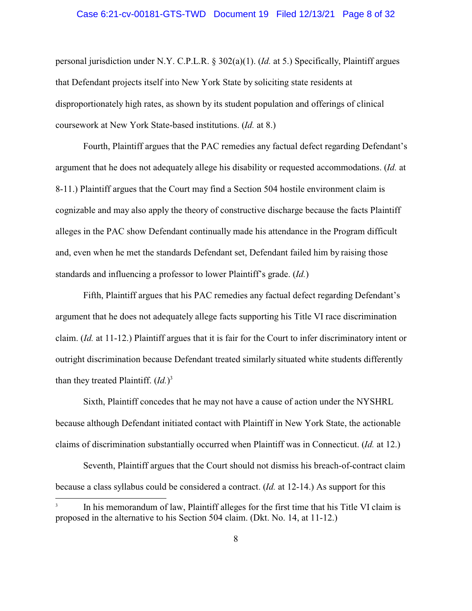#### Case 6:21-cv-00181-GTS-TWD Document 19 Filed 12/13/21 Page 8 of 32

personal jurisdiction under N.Y. C.P.L.R. § 302(a)(1). (*Id.* at 5.) Specifically, Plaintiff argues that Defendant projects itself into New York State by soliciting state residents at disproportionately high rates, as shown by its student population and offerings of clinical coursework at New York State-based institutions. (*Id.* at 8.)

Fourth, Plaintiff argues that the PAC remedies any factual defect regarding Defendant's argument that he does not adequately allege his disability or requested accommodations. (*Id.* at 8-11.) Plaintiff argues that the Court may find a Section 504 hostile environment claim is cognizable and may also apply the theory of constructive discharge because the facts Plaintiff alleges in the PAC show Defendant continually made his attendance in the Program difficult and, even when he met the standards Defendant set, Defendant failed him by raising those standards and influencing a professor to lower Plaintiff's grade. (*Id.*)

Fifth, Plaintiff argues that his PAC remedies any factual defect regarding Defendant's argument that he does not adequately allege facts supporting his Title VI race discrimination claim. (*Id.* at 11-12.) Plaintiff argues that it is fair for the Court to infer discriminatory intent or outright discrimination because Defendant treated similarly situated white students differently than they treated Plaintiff. (*Id.*) 3

Sixth, Plaintiff concedes that he may not have a cause of action under the NYSHRL because although Defendant initiated contact with Plaintiff in New York State, the actionable claims of discrimination substantially occurred when Plaintiff was in Connecticut. (*Id.* at 12.)

Seventh, Plaintiff argues that the Court should not dismiss his breach-of-contract claim because a class syllabus could be considered a contract. (*Id.* at 12-14.) As support for this

<sup>3</sup> In his memorandum of law, Plaintiff alleges for the first time that his Title VI claim is proposed in the alternative to his Section 504 claim. (Dkt. No. 14, at 11-12.)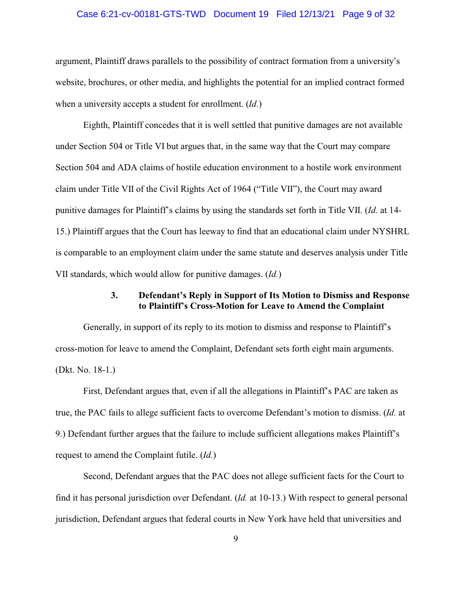#### Case 6:21-cv-00181-GTS-TWD Document 19 Filed 12/13/21 Page 9 of 32

argument, Plaintiff draws parallels to the possibility of contract formation from a university's website, brochures, or other media, and highlights the potential for an implied contract formed when a university accepts a student for enrollment. (*Id.*)

Eighth, Plaintiff concedes that it is well settled that punitive damages are not available under Section 504 or Title VI but argues that, in the same way that the Court may compare Section 504 and ADA claims of hostile education environment to a hostile work environment claim under Title VII of the Civil Rights Act of 1964 ("Title VII"), the Court may award punitive damages for Plaintiff's claims by using the standards set forth in Title VII. (*Id.* at 14- 15.) Plaintiff argues that the Court has leeway to find that an educational claim under NYSHRL is comparable to an employment claim under the same statute and deserves analysis under Title VII standards, which would allow for punitive damages. (*Id.*)

## **3. Defendant's Reply in Support of Its Motion to Dismiss and Response to Plaintiff's Cross-Motion for Leave to Amend the Complaint**

Generally, in support of its reply to its motion to dismiss and response to Plaintiff's cross-motion for leave to amend the Complaint, Defendant sets forth eight main arguments. (Dkt. No. 18-1.)

First, Defendant argues that, even if all the allegations in Plaintiff's PAC are taken as true, the PAC fails to allege sufficient facts to overcome Defendant's motion to dismiss. (*Id.* at 9.) Defendant further argues that the failure to include sufficient allegations makes Plaintiff's request to amend the Complaint futile. (*Id.*)

Second, Defendant argues that the PAC does not allege sufficient facts for the Court to find it has personal jurisdiction over Defendant. (*Id.* at 10-13.) With respect to general personal jurisdiction, Defendant argues that federal courts in New York have held that universities and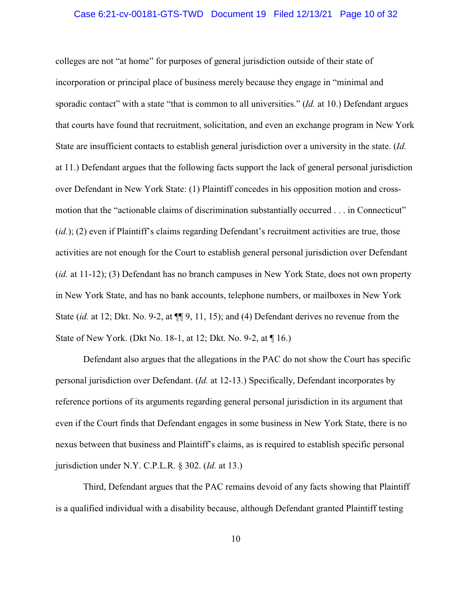#### Case 6:21-cv-00181-GTS-TWD Document 19 Filed 12/13/21 Page 10 of 32

colleges are not "at home" for purposes of general jurisdiction outside of their state of incorporation or principal place of business merely because they engage in "minimal and sporadic contact" with a state "that is common to all universities." (*Id.* at 10.) Defendant argues that courts have found that recruitment, solicitation, and even an exchange program in New York State are insufficient contacts to establish general jurisdiction over a university in the state. (*Id.* at 11.) Defendant argues that the following facts support the lack of general personal jurisdiction over Defendant in New York State: (1) Plaintiff concedes in his opposition motion and crossmotion that the "actionable claims of discrimination substantially occurred . . . in Connecticut" (*id.*); (2) even if Plaintiff's claims regarding Defendant's recruitment activities are true, those activities are not enough for the Court to establish general personal jurisdiction over Defendant (*id.* at 11-12); (3) Defendant has no branch campuses in New York State, does not own property in New York State, and has no bank accounts, telephone numbers, or mailboxes in New York State (*id.* at 12; Dkt. No. 9-2, at  $\P$ [9, 11, 15); and (4) Defendant derives no revenue from the State of New York. (Dkt No. 18-1, at 12; Dkt. No. 9-2, at ¶ 16.)

Defendant also argues that the allegations in the PAC do not show the Court has specific personal jurisdiction over Defendant. (*Id.* at 12-13.) Specifically, Defendant incorporates by reference portions of its arguments regarding general personal jurisdiction in its argument that even if the Court finds that Defendant engages in some business in New York State, there is no nexus between that business and Plaintiff's claims, as is required to establish specific personal jurisdiction under N.Y. C.P.L.R. § 302. (*Id.* at 13.)

Third, Defendant argues that the PAC remains devoid of any facts showing that Plaintiff is a qualified individual with a disability because, although Defendant granted Plaintiff testing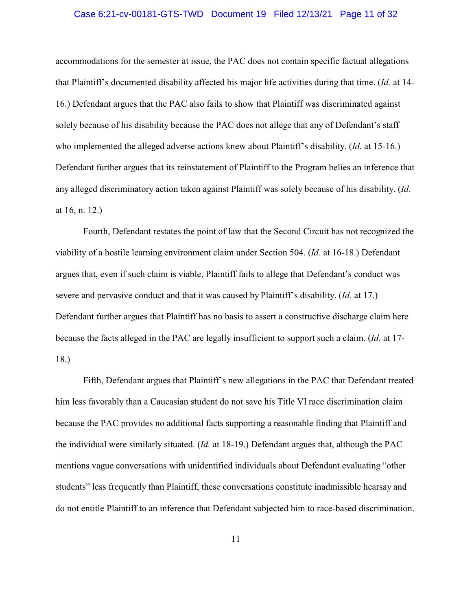#### Case 6:21-cv-00181-GTS-TWD Document 19 Filed 12/13/21 Page 11 of 32

accommodations for the semester at issue, the PAC does not contain specific factual allegations that Plaintiff's documented disability affected his major life activities during that time. (*Id.* at 14- 16.) Defendant argues that the PAC also fails to show that Plaintiff was discriminated against solely because of his disability because the PAC does not allege that any of Defendant's staff who implemented the alleged adverse actions knew about Plaintiff's disability. (*Id.* at 15-16.) Defendant further argues that its reinstatement of Plaintiff to the Program belies an inference that any alleged discriminatory action taken against Plaintiff was solely because of his disability. (*Id.* at 16, n. 12.)

Fourth, Defendant restates the point of law that the Second Circuit has not recognized the viability of a hostile learning environment claim under Section 504. (*Id.* at 16-18.) Defendant argues that, even if such claim is viable, Plaintiff fails to allege that Defendant's conduct was severe and pervasive conduct and that it was caused by Plaintiff's disability. (*Id.* at 17.) Defendant further argues that Plaintiff has no basis to assert a constructive discharge claim here because the facts alleged in the PAC are legally insufficient to support such a claim. (*Id.* at 17- 18.)

Fifth, Defendant argues that Plaintiff's new allegations in the PAC that Defendant treated him less favorably than a Caucasian student do not save his Title VI race discrimination claim because the PAC provides no additional facts supporting a reasonable finding that Plaintiff and the individual were similarly situated. (*Id.* at 18-19.) Defendant argues that, although the PAC mentions vague conversations with unidentified individuals about Defendant evaluating "other students" less frequently than Plaintiff, these conversations constitute inadmissible hearsay and do not entitle Plaintiff to an inference that Defendant subjected him to race-based discrimination.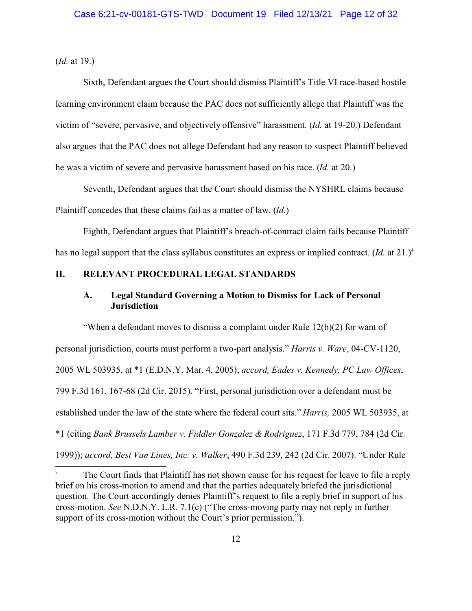(*Id.* at 19.)

Sixth, Defendant argues the Court should dismiss Plaintiff's Title VI race-based hostile learning environment claim because the PAC does not sufficiently allege that Plaintiff was the victim of "severe, pervasive, and objectively offensive" harassment. (*Id.* at 19-20.) Defendant also argues that the PAC does not allege Defendant had any reason to suspect Plaintiff believed he was a victim of severe and pervasive harassment based on his race. (*Id.* at 20.)

Seventh, Defendant argues that the Court should dismiss the NYSHRL claims because Plaintiff concedes that these claims fail as a matter of law. (*Id.*)

Eighth, Defendant argues that Plaintiff's breach-of-contract claim fails because Plaintiff has no legal support that the class syllabus constitutes an express or implied contract. (*Id.* at 21.)<sup>4</sup>

## **II. RELEVANT PROCEDURAL LEGAL STANDARDS**

## **A. Legal Standard Governing a Motion to Dismiss for Lack of Personal Jurisdiction**

"When a defendant moves to dismiss a complaint under Rule  $12(b)(2)$  for want of personal jurisdiction, courts must perform a two-part analysis." *Harris v. Ware*, 04-CV-1120, 2005 WL 503935, at \*1 (E.D.N.Y. Mar. 4, 2005); *accord, Eades v. Kennedy, PC Law Offices*, 799 F.3d 161, 167-68 (2d Cir. 2015). "First, personal jurisdiction over a defendant must be established under the law of the state where the federal court sits." *Harris,* 2005 WL 503935, at \*1 (citing *Bank Brussels Lamber v. Fiddler Gonzalez & Rodriguez*, 171 F.3d 779, 784 (2d Cir. 1999)); *accord, Best Van Lines, Inc. v. Walker*, 490 F.3d 239, 242 (2d Cir. 2007). "Under Rule

<sup>&</sup>lt;sup>4</sup> The Court finds that Plaintiff has not shown cause for his request for leave to file a reply brief on his cross-motion to amend and that the parties adequately briefed the jurisdictional question. The Court accordingly denies Plaintiff's request to file a reply brief in support of his cross-motion. *See* N.D.N.Y. L.R. 7.1(c) ("The cross-moving party may not reply in further support of its cross-motion without the Court's prior permission.").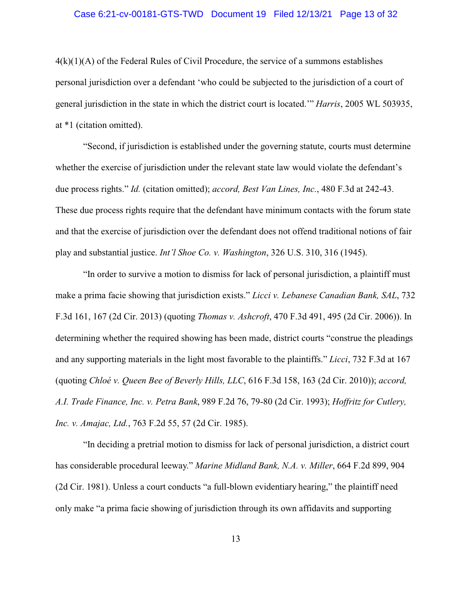#### Case 6:21-cv-00181-GTS-TWD Document 19 Filed 12/13/21 Page 13 of 32

 $4(k)(1)(A)$  of the Federal Rules of Civil Procedure, the service of a summons establishes personal jurisdiction over a defendant 'who could be subjected to the jurisdiction of a court of general jurisdiction in the state in which the district court is located.'" *Harris*, 2005 WL 503935, at \*1 (citation omitted).

"Second, if jurisdiction is established under the governing statute, courts must determine whether the exercise of jurisdiction under the relevant state law would violate the defendant's due process rights." *Id.* (citation omitted); *accord, Best Van Lines, Inc.*, 480 F.3d at 242-43. These due process rights require that the defendant have minimum contacts with the forum state and that the exercise of jurisdiction over the defendant does not offend traditional notions of fair play and substantial justice. *Int'l Shoe Co. v. Washington*, 326 U.S. 310, 316 (1945).

"In order to survive a motion to dismiss for lack of personal jurisdiction, a plaintiff must make a prima facie showing that jurisdiction exists." *Licci v. Lebanese Canadian Bank, SAL*, 732 F.3d 161, 167 (2d Cir. 2013) (quoting *Thomas v. Ashcroft*, 470 F.3d 491, 495 (2d Cir. 2006)). In determining whether the required showing has been made, district courts "construe the pleadings and any supporting materials in the light most favorable to the plaintiffs." *Licci*, 732 F.3d at 167 (quoting *Chloé v. Queen Bee of Beverly Hills, LLC*, 616 F.3d 158, 163 (2d Cir. 2010)); *accord, A.I. Trade Finance, Inc. v. Petra Bank*, 989 F.2d 76, 79-80 (2d Cir. 1993); *Hoffritz for Cutlery, Inc. v. Amajac, Ltd.*, 763 F.2d 55, 57 (2d Cir. 1985).

"In deciding a pretrial motion to dismiss for lack of personal jurisdiction, a district court has considerable procedural leeway." *Marine Midland Bank, N.A. v. Miller*, 664 F.2d 899, 904 (2d Cir. 1981). Unless a court conducts "a full-blown evidentiary hearing," the plaintiff need only make "a prima facie showing of jurisdiction through its own affidavits and supporting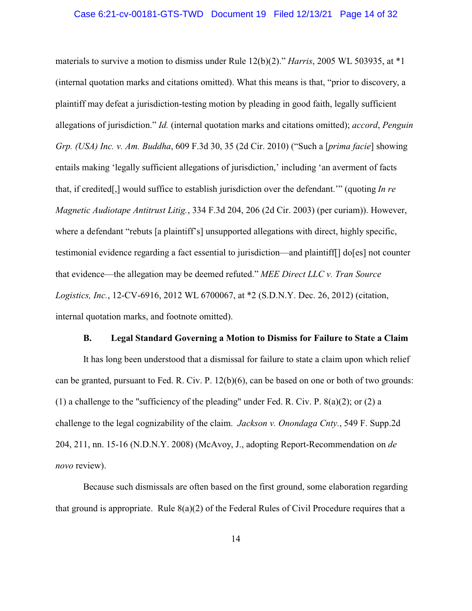#### Case 6:21-cv-00181-GTS-TWD Document 19 Filed 12/13/21 Page 14 of 32

materials to survive a motion to dismiss under Rule 12(b)(2)." *Harris*, 2005 WL 503935, at \*1 (internal quotation marks and citations omitted). What this means is that, "prior to discovery, a plaintiff may defeat a jurisdiction-testing motion by pleading in good faith, legally sufficient allegations of jurisdiction." *Id.* (internal quotation marks and citations omitted); *accord*, *Penguin Grp. (USA) Inc. v. Am. Buddha*, 609 F.3d 30, 35 (2d Cir. 2010) ("Such a [*prima facie*] showing entails making 'legally sufficient allegations of jurisdiction,' including 'an averment of facts that, if credited[,] would suffice to establish jurisdiction over the defendant.'" (quoting *In re Magnetic Audiotape Antitrust Litig.*, 334 F.3d 204, 206 (2d Cir. 2003) (per curiam)). However, where a defendant "rebuts [a plaintiff's] unsupported allegations with direct, highly specific, testimonial evidence regarding a fact essential to jurisdiction—and plaintiff[] do[es] not counter that evidence—the allegation may be deemed refuted." *MEE Direct LLC v. Tran Source Logistics, Inc.*, 12-CV-6916, 2012 WL 6700067, at \*2 (S.D.N.Y. Dec. 26, 2012) (citation, internal quotation marks, and footnote omitted).

#### **B. Legal Standard Governing a Motion to Dismiss for Failure to State a Claim**

It has long been understood that a dismissal for failure to state a claim upon which relief can be granted, pursuant to Fed. R. Civ. P. 12(b)(6), can be based on one or both of two grounds: (1) a challenge to the "sufficiency of the pleading" under Fed. R. Civ. P.  $8(a)(2)$ ; or (2) a challenge to the legal cognizability of the claim. *Jackson v. Onondaga Cnty.*, 549 F. Supp.2d 204, 211, nn. 15-16 (N.D.N.Y. 2008) (McAvoy, J., adopting Report-Recommendation on *de novo* review).

Because such dismissals are often based on the first ground, some elaboration regarding that ground is appropriate. Rule  $8(a)(2)$  of the Federal Rules of Civil Procedure requires that a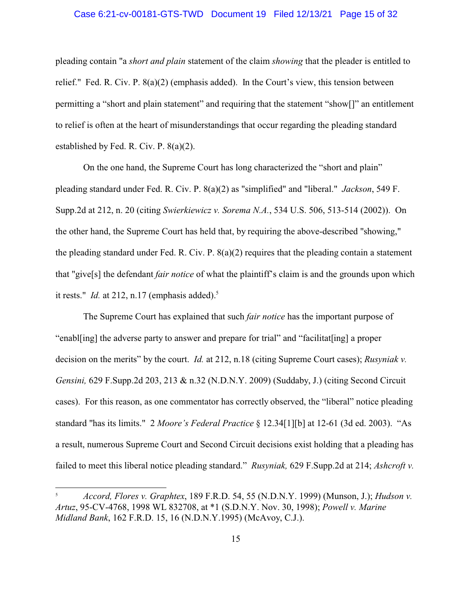#### Case 6:21-cv-00181-GTS-TWD Document 19 Filed 12/13/21 Page 15 of 32

pleading contain "a *short and plain* statement of the claim *showing* that the pleader is entitled to relief." Fed. R. Civ. P. 8(a)(2) (emphasis added). In the Court's view, this tension between permitting a "short and plain statement" and requiring that the statement "show[]" an entitlement to relief is often at the heart of misunderstandings that occur regarding the pleading standard established by Fed. R. Civ. P. 8(a)(2).

On the one hand, the Supreme Court has long characterized the "short and plain" pleading standard under Fed. R. Civ. P. 8(a)(2) as "simplified" and "liberal." *Jackson*, 549 F. Supp.2d at 212, n. 20 (citing *Swierkiewicz v. Sorema N.A.*, 534 U.S. 506, 513-514 (2002)). On the other hand, the Supreme Court has held that, by requiring the above-described "showing," the pleading standard under Fed. R. Civ. P.  $8(a)(2)$  requires that the pleading contain a statement that "give[s] the defendant *fair notice* of what the plaintiff's claim is and the grounds upon which it rests." *Id.* at 212, n.17 (emphasis added).<sup>5</sup>

The Supreme Court has explained that such *fair notice* has the important purpose of "enabl[ing] the adverse party to answer and prepare for trial" and "facilitat[ing] a proper decision on the merits" by the court. *Id.* at 212, n.18 (citing Supreme Court cases); *Rusyniak v. Gensini,* 629 F.Supp.2d 203, 213 & n.32 (N.D.N.Y. 2009) (Suddaby, J.) (citing Second Circuit cases). For this reason, as one commentator has correctly observed, the "liberal" notice pleading standard "has its limits." 2 *Moore's Federal Practice* § 12.34[1][b] at 12-61 (3d ed. 2003). "As a result, numerous Supreme Court and Second Circuit decisions exist holding that a pleading has failed to meet this liberal notice pleading standard." *Rusyniak,* 629 F.Supp.2d at 214; *Ashcroft v.*

<sup>5</sup> *Accord, Flores v. Graphtex*, 189 F.R.D. 54, 55 (N.D.N.Y. 1999) (Munson, J.); *Hudson v. Artuz*, 95-CV-4768, 1998 WL 832708, at \*1 (S.D.N.Y. Nov. 30, 1998); *Powell v. Marine Midland Bank*, 162 F.R.D. 15, 16 (N.D.N.Y.1995) (McAvoy, C.J.).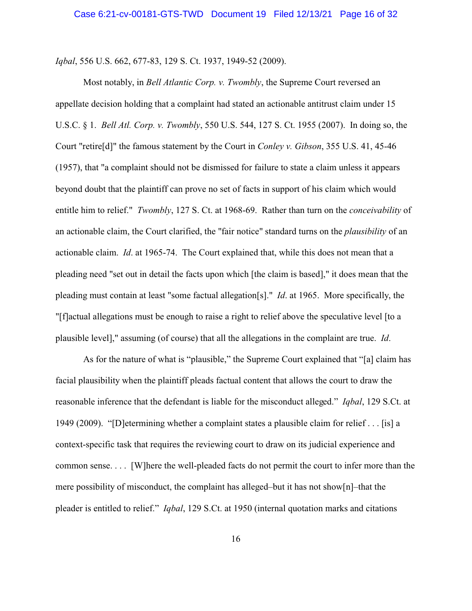*Iqbal*, 556 U.S. 662, 677-83, 129 S. Ct. 1937, 1949-52 (2009).

Most notably, in *Bell Atlantic Corp. v. Twombly*, the Supreme Court reversed an appellate decision holding that a complaint had stated an actionable antitrust claim under 15 U.S.C. § 1. *Bell Atl. Corp. v. Twombly*, 550 U.S. 544, 127 S. Ct. 1955 (2007). In doing so, the Court "retire[d]" the famous statement by the Court in *Conley v. Gibson*, 355 U.S. 41, 45-46 (1957), that "a complaint should not be dismissed for failure to state a claim unless it appears beyond doubt that the plaintiff can prove no set of facts in support of his claim which would entitle him to relief." *Twombly*, 127 S. Ct. at 1968-69. Rather than turn on the *conceivability* of an actionable claim, the Court clarified, the "fair notice" standard turns on the *plausibility* of an actionable claim. *Id*. at 1965-74. The Court explained that, while this does not mean that a pleading need "set out in detail the facts upon which [the claim is based]," it does mean that the pleading must contain at least "some factual allegation[s]." *Id*. at 1965. More specifically, the "[f]actual allegations must be enough to raise a right to relief above the speculative level [to a plausible level]," assuming (of course) that all the allegations in the complaint are true. *Id*.

As for the nature of what is "plausible," the Supreme Court explained that "[a] claim has facial plausibility when the plaintiff pleads factual content that allows the court to draw the reasonable inference that the defendant is liable for the misconduct alleged." *Iqbal*, 129 S.Ct. at 1949 (2009). "[D]etermining whether a complaint states a plausible claim for relief . . . [is] a context-specific task that requires the reviewing court to draw on its judicial experience and common sense. . . . [W]here the well-pleaded facts do not permit the court to infer more than the mere possibility of misconduct, the complaint has alleged–but it has not show $[n]$ –that the pleader is entitled to relief." *Iqbal*, 129 S.Ct. at 1950 (internal quotation marks and citations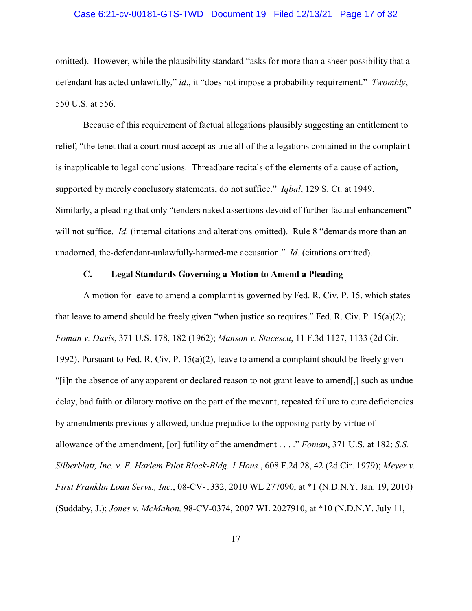#### Case 6:21-cv-00181-GTS-TWD Document 19 Filed 12/13/21 Page 17 of 32

omitted). However, while the plausibility standard "asks for more than a sheer possibility that a defendant has acted unlawfully," *id*., it "does not impose a probability requirement." *Twombly*, 550 U.S. at 556.

Because of this requirement of factual allegations plausibly suggesting an entitlement to relief, "the tenet that a court must accept as true all of the allegations contained in the complaint is inapplicable to legal conclusions. Threadbare recitals of the elements of a cause of action, supported by merely conclusory statements, do not suffice." *Iqbal*, 129 S. Ct. at 1949. Similarly, a pleading that only "tenders naked assertions devoid of further factual enhancement" will not suffice. *Id.* (internal citations and alterations omitted). Rule 8 "demands more than an unadorned, the-defendant-unlawfully-harmed-me accusation." *Id.* (citations omitted).

### **C. Legal Standards Governing a Motion to Amend a Pleading**

A motion for leave to amend a complaint is governed by Fed. R. Civ. P. 15, which states that leave to amend should be freely given "when justice so requires." Fed. R. Civ. P. 15(a)(2); *Foman v. Davis*, 371 U.S. 178, 182 (1962); *Manson v. Stacescu*, 11 F.3d 1127, 1133 (2d Cir. 1992). Pursuant to Fed. R. Civ. P. 15(a)(2), leave to amend a complaint should be freely given "[i]n the absence of any apparent or declared reason to not grant leave to amend[,] such as undue delay, bad faith or dilatory motive on the part of the movant, repeated failure to cure deficiencies by amendments previously allowed, undue prejudice to the opposing party by virtue of allowance of the amendment, [or] futility of the amendment . . . ." *Foman*, 371 U.S. at 182; *S.S. Silberblatt, Inc. v. E. Harlem Pilot Block-Bldg. 1 Hous.*, 608 F.2d 28, 42 (2d Cir. 1979); *Meyer v. First Franklin Loan Servs., Inc.*, 08-CV-1332, 2010 WL 277090, at \*1 (N.D.N.Y. Jan. 19, 2010) (Suddaby, J.); *Jones v. McMahon,* 98-CV-0374, 2007 WL 2027910, at \*10 (N.D.N.Y. July 11,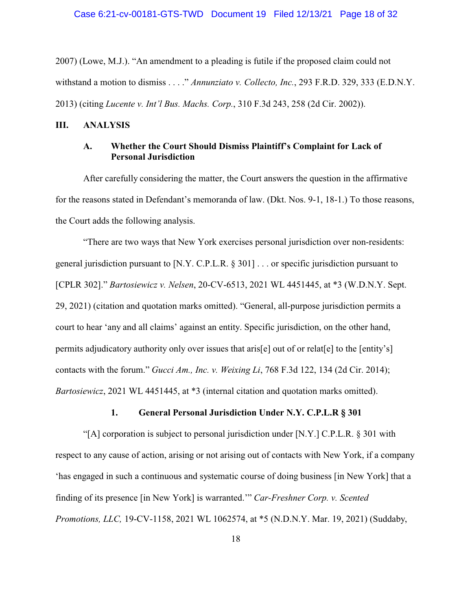2007) (Lowe, M.J.). "An amendment to a pleading is futile if the proposed claim could not withstand a motion to dismiss . . . ." *Annunziato v. Collecto, Inc.*, 293 F.R.D. 329, 333 (E.D.N.Y. 2013) (citing *Lucente v. Int'l Bus. Machs. Corp.*, 310 F.3d 243, 258 (2d Cir. 2002)).

#### **III. ANALYSIS**

## **A. Whether the Court Should Dismiss Plaintiff's Complaint for Lack of Personal Jurisdiction**

After carefully considering the matter, the Court answers the question in the affirmative for the reasons stated in Defendant's memoranda of law. (Dkt. Nos. 9-1, 18-1.) To those reasons, the Court adds the following analysis.

"There are two ways that New York exercises personal jurisdiction over non-residents: general jurisdiction pursuant to [N.Y. C.P.L.R. § 301] . . . or specific jurisdiction pursuant to [CPLR 302]." *Bartosiewicz v. Nelsen*, 20-CV-6513, 2021 WL 4451445, at \*3 (W.D.N.Y. Sept. 29, 2021) (citation and quotation marks omitted). "General, all-purpose jurisdiction permits a court to hear 'any and all claims' against an entity. Specific jurisdiction, on the other hand, permits adjudicatory authority only over issues that aris[e] out of or relat[e] to the [entity's] contacts with the forum." *Gucci Am., Inc. v. Weixing Li*, 768 F.3d 122, 134 (2d Cir. 2014); *Bartosiewicz*, 2021 WL 4451445, at \*3 (internal citation and quotation marks omitted).

## **1. General Personal Jurisdiction Under N.Y. C.P.L.R § 301**

"[A] corporation is subject to personal jurisdiction under  $[N, Y, I, C, P, L, R, \$ § 301 with respect to any cause of action, arising or not arising out of contacts with New York, if a company 'has engaged in such a continuous and systematic course of doing business [in New York] that a finding of its presence [in New York] is warranted.'" *Car-Freshner Corp. v. Scented Promotions, LLC,* 19-CV-1158, 2021 WL 1062574, at \*5 (N.D.N.Y. Mar. 19, 2021) (Suddaby,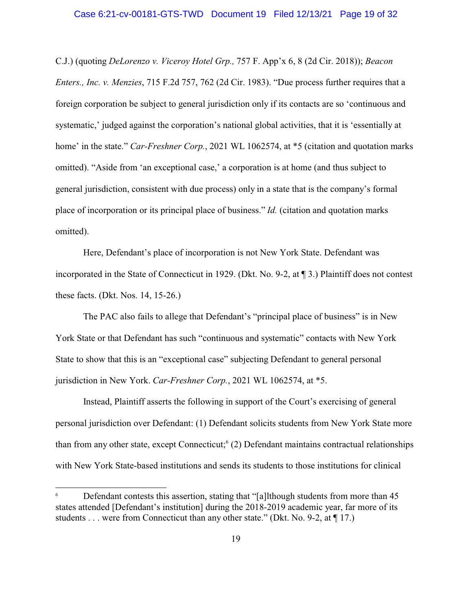C.J.) (quoting *DeLorenzo v. Viceroy Hotel Grp.,* 757 F. App'x 6, 8 (2d Cir. 2018)); *Beacon Enters., Inc. v. Menzies*, 715 F.2d 757, 762 (2d Cir. 1983). "Due process further requires that a foreign corporation be subject to general jurisdiction only if its contacts are so 'continuous and systematic,' judged against the corporation's national global activities, that it is 'essentially at home' in the state." *Car-Freshner Corp.*, 2021 WL 1062574, at  $*$ 5 (citation and quotation marks omitted). "Aside from 'an exceptional case,' a corporation is at home (and thus subject to general jurisdiction, consistent with due process) only in a state that is the company's formal place of incorporation or its principal place of business." *Id.* (citation and quotation marks omitted).

Here, Defendant's place of incorporation is not New York State. Defendant was incorporated in the State of Connecticut in 1929. (Dkt. No. 9-2, at ¶ 3.) Plaintiff does not contest these facts. (Dkt. Nos. 14, 15-26.)

The PAC also fails to allege that Defendant's "principal place of business" is in New York State or that Defendant has such "continuous and systematic" contacts with New York State to show that this is an "exceptional case" subjecting Defendant to general personal jurisdiction in New York. *Car-Freshner Corp.*, 2021 WL 1062574, at \*5.

Instead, Plaintiff asserts the following in support of the Court's exercising of general personal jurisdiction over Defendant: (1) Defendant solicits students from New York State more than from any other state, except Connecticut;<sup>6</sup> (2) Defendant maintains contractual relationships with New York State-based institutions and sends its students to those institutions for clinical

Defendant contests this assertion, stating that "[a]lthough students from more than 45 states attended [Defendant's institution] during the 2018-2019 academic year, far more of its students . . . were from Connecticut than any other state." (Dkt. No. 9-2, at ¶ 17.)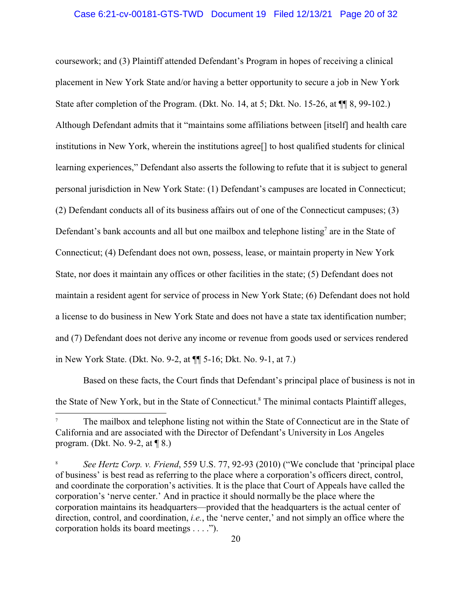#### Case 6:21-cv-00181-GTS-TWD Document 19 Filed 12/13/21 Page 20 of 32

coursework; and (3) Plaintiff attended Defendant's Program in hopes of receiving a clinical placement in New York State and/or having a better opportunity to secure a job in New York State after completion of the Program. (Dkt. No. 14, at 5; Dkt. No. 15-26, at  $\P\P$  8, 99-102.) Although Defendant admits that it "maintains some affiliations between [itself] and health care institutions in New York, wherein the institutions agree[] to host qualified students for clinical learning experiences," Defendant also asserts the following to refute that it is subject to general personal jurisdiction in New York State: (1) Defendant's campuses are located in Connecticut; (2) Defendant conducts all of its business affairs out of one of the Connecticut campuses; (3) Defendant's bank accounts and all but one mailbox and telephone listing<sup>7</sup> are in the State of Connecticut; (4) Defendant does not own, possess, lease, or maintain property in New York State, nor does it maintain any offices or other facilities in the state; (5) Defendant does not maintain a resident agent for service of process in New York State; (6) Defendant does not hold a license to do business in New York State and does not have a state tax identification number; and (7) Defendant does not derive any income or revenue from goods used or services rendered in New York State. (Dkt. No. 9-2, at ¶¶ 5-16; Dkt. No. 9-1, at 7.)

Based on these facts, the Court finds that Defendant's principal place of business is not in the State of New York, but in the State of Connecticut.<sup>8</sup> The minimal contacts Plaintiff alleges,

<sup>7</sup> The mailbox and telephone listing not within the State of Connecticut are in the State of California and are associated with the Director of Defendant's University in Los Angeles program. (Dkt. No. 9-2, at ¶ 8.)

<sup>8</sup> *See Hertz Corp. v. Friend*, 559 U.S. 77, 92-93 (2010) ("We conclude that 'principal place of business' is best read as referring to the place where a corporation's officers direct, control, and coordinate the corporation's activities. It is the place that Court of Appeals have called the corporation's 'nerve center.' And in practice it should normally be the place where the corporation maintains its headquarters—provided that the headquarters is the actual center of direction, control, and coordination, *i.e.*, the 'nerve center,' and not simply an office where the corporation holds its board meetings . . . .").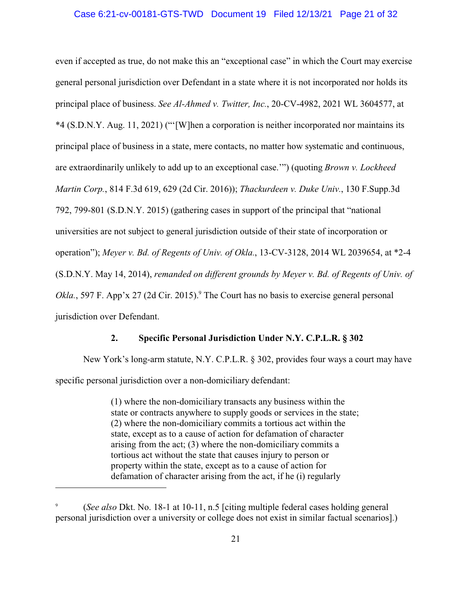#### Case 6:21-cv-00181-GTS-TWD Document 19 Filed 12/13/21 Page 21 of 32

even if accepted as true, do not make this an "exceptional case" in which the Court may exercise general personal jurisdiction over Defendant in a state where it is not incorporated nor holds its principal place of business. *See Al-Ahmed v. Twitter, Inc.*, 20-CV-4982, 2021 WL 3604577, at \*4 (S.D.N.Y. Aug. 11, 2021) ("'[W]hen a corporation is neither incorporated nor maintains its principal place of business in a state, mere contacts, no matter how systematic and continuous, are extraordinarily unlikely to add up to an exceptional case.'") (quoting *Brown v. Lockheed Martin Corp.*, 814 F.3d 619, 629 (2d Cir. 2016)); *Thackurdeen v. Duke Univ.*, 130 F.Supp.3d 792, 799-801 (S.D.N.Y. 2015) (gathering cases in support of the principal that "national universities are not subject to general jurisdiction outside of their state of incorporation or operation"); *Meyer v. Bd. of Regents of Univ. of Okla.*, 13-CV-3128, 2014 WL 2039654, at \*2-4 (S.D.N.Y. May 14, 2014), *remanded on different grounds by Meyer v. Bd. of Regents of Univ. of* Okla., 597 F. App'x 27 (2d Cir. 2015).<sup>9</sup> The Court has no basis to exercise general personal jurisdiction over Defendant.

#### **2. Specific Personal Jurisdiction Under N.Y. C.P.L.R. § 302**

New York's long-arm statute, N.Y. C.P.L.R. § 302, provides four ways a court may have specific personal jurisdiction over a non-domiciliary defendant:

> (1) where the non-domiciliary transacts any business within the state or contracts anywhere to supply goods or services in the state; (2) where the non-domiciliary commits a tortious act within the state, except as to a cause of action for defamation of character arising from the act; (3) where the non-domiciliary commits a tortious act without the state that causes injury to person or property within the state, except as to a cause of action for defamation of character arising from the act, if he (i) regularly

<sup>9</sup> (*See also* Dkt. No. 18-1 at 10-11, n.5 [citing multiple federal cases holding general personal jurisdiction over a university or college does not exist in similar factual scenarios].)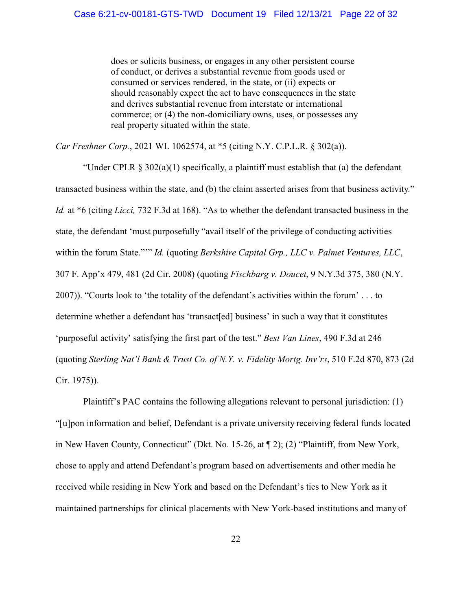does or solicits business, or engages in any other persistent course of conduct, or derives a substantial revenue from goods used or consumed or services rendered, in the state, or (ii) expects or should reasonably expect the act to have consequences in the state and derives substantial revenue from interstate or international commerce; or (4) the non-domiciliary owns, uses, or possesses any real property situated within the state.

*Car Freshner Corp.*, 2021 WL 1062574, at \*5 (citing N.Y. C.P.L.R. § 302(a)).

"Under CPLR  $\S 302(a)(1)$  specifically, a plaintiff must establish that (a) the defendant transacted business within the state, and (b) the claim asserted arises from that business activity." *Id.* at \*6 (citing *Licci,* 732 F.3d at 168). "As to whether the defendant transacted business in the state, the defendant 'must purposefully "avail itself of the privilege of conducting activities within the forum State."'" *Id.* (quoting *Berkshire Capital Grp., LLC v. Palmet Ventures, LLC*, 307 F. App'x 479, 481 (2d Cir. 2008) (quoting *Fischbarg v. Doucet*, 9 N.Y.3d 375, 380 (N.Y. 2007)). "Courts look to 'the totality of the defendant's activities within the forum' . . . to determine whether a defendant has 'transact[ed] business' in such a way that it constitutes 'purposeful activity' satisfying the first part of the test." *Best Van Lines*, 490 F.3d at 246 (quoting *Sterling Nat'l Bank & Trust Co. of N.Y. v. Fidelity Mortg. Inv'rs*, 510 F.2d 870, 873 (2d Cir. 1975)).

Plaintiff's PAC contains the following allegations relevant to personal jurisdiction: (1) "[u]pon information and belief, Defendant is a private university receiving federal funds located in New Haven County, Connecticut" (Dkt. No. 15-26, at ¶ 2); (2) "Plaintiff, from New York, chose to apply and attend Defendant's program based on advertisements and other media he received while residing in New York and based on the Defendant's ties to New York as it maintained partnerships for clinical placements with New York-based institutions and many of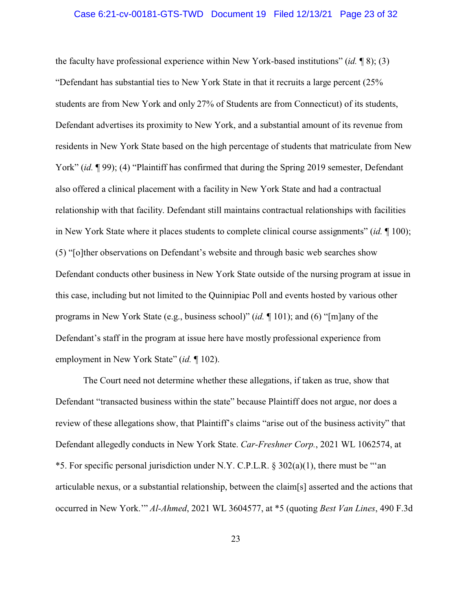#### Case 6:21-cv-00181-GTS-TWD Document 19 Filed 12/13/21 Page 23 of 32

the faculty have professional experience within New York-based institutions" (*id.* ¶ 8); (3) "Defendant has substantial ties to New York State in that it recruits a large percent (25% students are from New York and only 27% of Students are from Connecticut) of its students, Defendant advertises its proximity to New York, and a substantial amount of its revenue from residents in New York State based on the high percentage of students that matriculate from New York" *(id.* ¶ 99); (4) "Plaintiff has confirmed that during the Spring 2019 semester, Defendant also offered a clinical placement with a facility in New York State and had a contractual relationship with that facility. Defendant still maintains contractual relationships with facilities in New York State where it places students to complete clinical course assignments" (*id.* ¶ 100); (5) "[o]ther observations on Defendant's website and through basic web searches show Defendant conducts other business in New York State outside of the nursing program at issue in this case, including but not limited to the Quinnipiac Poll and events hosted by various other programs in New York State (e.g., business school)" (*id.* ¶ 101); and (6) "[m]any of the Defendant's staff in the program at issue here have mostly professional experience from employment in New York State" (*id.* ¶ 102).

The Court need not determine whether these allegations, if taken as true, show that Defendant "transacted business within the state" because Plaintiff does not argue, nor does a review of these allegations show, that Plaintiff's claims "arise out of the business activity" that Defendant allegedly conducts in New York State. *Car-Freshner Corp.*, 2021 WL 1062574, at \*5. For specific personal jurisdiction under N.Y. C.P.L.R. § 302(a)(1), there must be "'an articulable nexus, or a substantial relationship, between the claim[s] asserted and the actions that occurred in New York.'" *Al-Ahmed*, 2021 WL 3604577, at \*5 (quoting *Best Van Lines*, 490 F.3d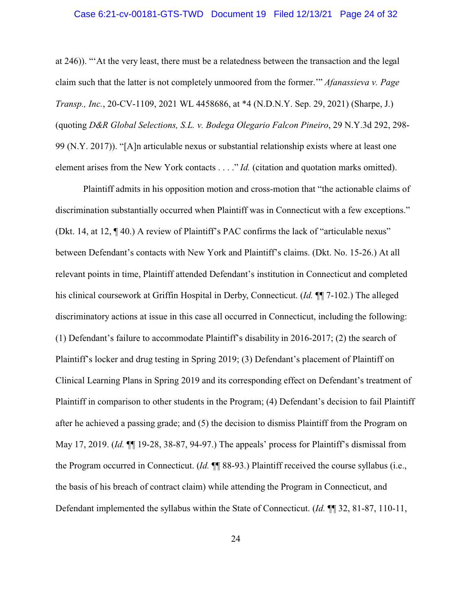#### Case 6:21-cv-00181-GTS-TWD Document 19 Filed 12/13/21 Page 24 of 32

at 246)). "'At the very least, there must be a relatedness between the transaction and the legal claim such that the latter is not completely unmoored from the former.'" *Afanassieva v. Page Transp., Inc.*, 20-CV-1109, 2021 WL 4458686, at \*4 (N.D.N.Y. Sep. 29, 2021) (Sharpe, J.) (quoting *D&R Global Selections, S.L. v. Bodega Olegario Falcon Pineiro*, 29 N.Y.3d 292, 298- 99 (N.Y. 2017)). "[A]n articulable nexus or substantial relationship exists where at least one element arises from the New York contacts . . . ." *Id.* (citation and quotation marks omitted).

Plaintiff admits in his opposition motion and cross-motion that "the actionable claims of discrimination substantially occurred when Plaintiff was in Connecticut with a few exceptions." (Dkt. 14, at 12, ¶ 40.) A review of Plaintiff's PAC confirms the lack of "articulable nexus" between Defendant's contacts with New York and Plaintiff's claims. (Dkt. No. 15-26.) At all relevant points in time, Plaintiff attended Defendant's institution in Connecticut and completed his clinical coursework at Griffin Hospital in Derby, Connecticut. (*Id.* ¶¶ 7-102.) The alleged discriminatory actions at issue in this case all occurred in Connecticut, including the following: (1) Defendant's failure to accommodate Plaintiff's disability in 2016-2017; (2) the search of Plaintiff's locker and drug testing in Spring 2019; (3) Defendant's placement of Plaintiff on Clinical Learning Plans in Spring 2019 and its corresponding effect on Defendant's treatment of Plaintiff in comparison to other students in the Program; (4) Defendant's decision to fail Plaintiff after he achieved a passing grade; and (5) the decision to dismiss Plaintiff from the Program on May 17, 2019. (*Id.* ¶¶ 19-28, 38-87, 94-97.) The appeals' process for Plaintiff's dismissal from the Program occurred in Connecticut. (*Id.* ¶¶ 88-93.) Plaintiff received the course syllabus (i.e., the basis of his breach of contract claim) while attending the Program in Connecticut, and Defendant implemented the syllabus within the State of Connecticut. (*Id.* ¶¶ 32, 81-87, 110-11,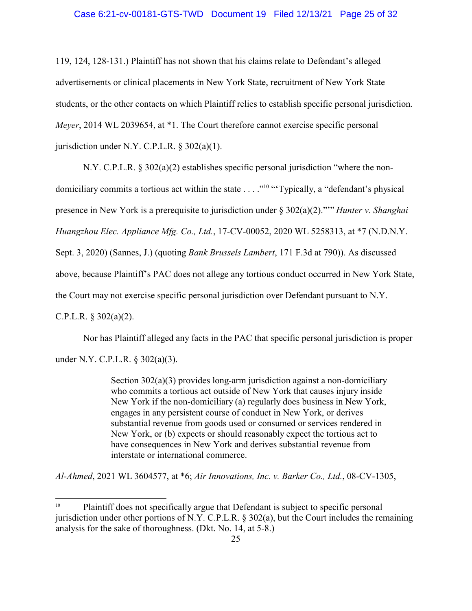#### Case 6:21-cv-00181-GTS-TWD Document 19 Filed 12/13/21 Page 25 of 32

119, 124, 128-131.) Plaintiff has not shown that his claims relate to Defendant's alleged advertisements or clinical placements in New York State, recruitment of New York State students, or the other contacts on which Plaintiff relies to establish specific personal jurisdiction. *Meyer*, 2014 WL 2039654, at \*1. The Court therefore cannot exercise specific personal jurisdiction under N.Y. C.P.L.R.  $\S 302(a)(1)$ .

N.Y. C.P.L.R. § 302(a)(2) establishes specific personal jurisdiction "where the nondomiciliary commits a tortious act within the state . . . ."<sup>10</sup> "Typically, a "defendant's physical presence in New York is a prerequisite to jurisdiction under § 302(a)(2)."'" *Hunter v. Shanghai Huangzhou Elec. Appliance Mfg. Co., Ltd.*, 17-CV-00052, 2020 WL 5258313, at \*7 (N.D.N.Y. Sept. 3, 2020) (Sannes, J.) (quoting *Bank Brussels Lambert*, 171 F.3d at 790)). As discussed above, because Plaintiff's PAC does not allege any tortious conduct occurred in New York State, the Court may not exercise specific personal jurisdiction over Defendant pursuant to N.Y. C.P.L.R. § 302(a)(2).

Nor has Plaintiff alleged any facts in the PAC that specific personal jurisdiction is proper under N.Y. C.P.L.R. § 302(a)(3).

> Section 302(a)(3) provides long-arm jurisdiction against a non-domiciliary who commits a tortious act outside of New York that causes injury inside New York if the non-domiciliary (a) regularly does business in New York, engages in any persistent course of conduct in New York, or derives substantial revenue from goods used or consumed or services rendered in New York, or (b) expects or should reasonably expect the tortious act to have consequences in New York and derives substantial revenue from interstate or international commerce.

*Al-Ahmed*, 2021 WL 3604577, at \*6; *Air Innovations, Inc. v. Barker Co., Ltd.*, 08-CV-1305,

<sup>10</sup> Plaintiff does not specifically argue that Defendant is subject to specific personal jurisdiction under other portions of N.Y. C.P.L.R. § 302(a), but the Court includes the remaining analysis for the sake of thoroughness. (Dkt. No. 14, at 5-8.)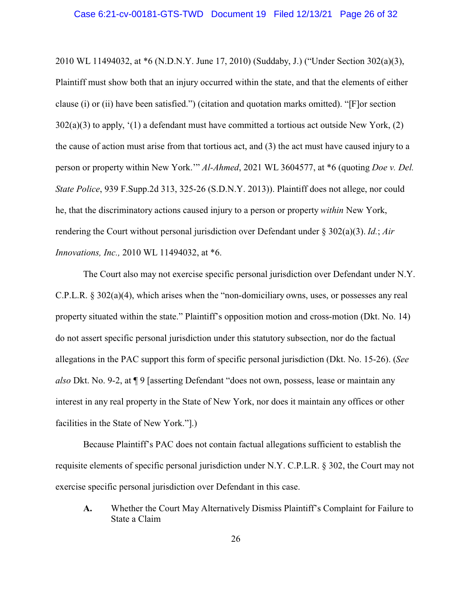2010 WL 11494032, at \*6 (N.D.N.Y. June 17, 2010) (Suddaby, J.) ("Under Section 302(a)(3), Plaintiff must show both that an injury occurred within the state, and that the elements of either clause (i) or (ii) have been satisfied.") (citation and quotation marks omitted). "[F]or section  $302(a)(3)$  to apply, '(1) a defendant must have committed a tortious act outside New York, (2) the cause of action must arise from that tortious act, and (3) the act must have caused injury to a person or property within New York.'" *Al-Ahmed*, 2021 WL 3604577, at \*6 (quoting *Doe v. Del. State Police*, 939 F.Supp.2d 313, 325-26 (S.D.N.Y. 2013)). Plaintiff does not allege, nor could he, that the discriminatory actions caused injury to a person or property *within* New York, rendering the Court without personal jurisdiction over Defendant under § 302(a)(3). *Id.*; *Air Innovations, Inc.,* 2010 WL 11494032, at \*6.

The Court also may not exercise specific personal jurisdiction over Defendant under N.Y. C.P.L.R.  $\S 302(a)(4)$ , which arises when the "non-domiciliary owns, uses, or possesses any real property situated within the state." Plaintiff's opposition motion and cross-motion (Dkt. No. 14) do not assert specific personal jurisdiction under this statutory subsection, nor do the factual allegations in the PAC support this form of specific personal jurisdiction (Dkt. No. 15-26). (*See also* Dkt. No. 9-2, at ¶ 9 [asserting Defendant "does not own, possess, lease or maintain any interest in any real property in the State of New York, nor does it maintain any offices or other facilities in the State of New York."].)

Because Plaintiff's PAC does not contain factual allegations sufficient to establish the requisite elements of specific personal jurisdiction under N.Y. C.P.L.R. § 302, the Court may not exercise specific personal jurisdiction over Defendant in this case.

**A.** Whether the Court May Alternatively Dismiss Plaintiff's Complaint for Failure to State a Claim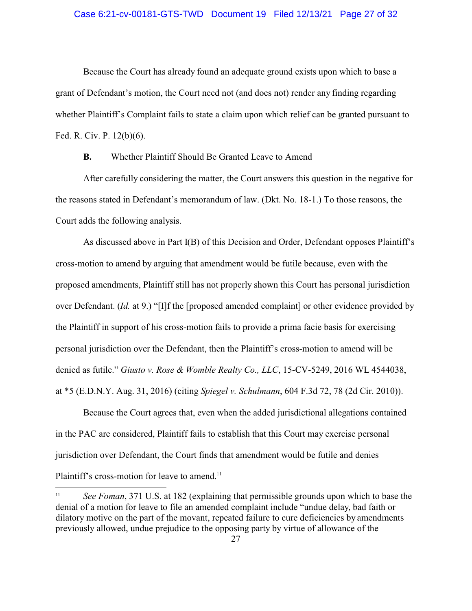#### Case 6:21-cv-00181-GTS-TWD Document 19 Filed 12/13/21 Page 27 of 32

Because the Court has already found an adequate ground exists upon which to base a grant of Defendant's motion, the Court need not (and does not) render any finding regarding whether Plaintiff's Complaint fails to state a claim upon which relief can be granted pursuant to Fed. R. Civ. P. 12(b)(6).

**B.** Whether Plaintiff Should Be Granted Leave to Amend

After carefully considering the matter, the Court answers this question in the negative for the reasons stated in Defendant's memorandum of law. (Dkt. No. 18-1.) To those reasons, the Court adds the following analysis.

As discussed above in Part I(B) of this Decision and Order, Defendant opposes Plaintiff's cross-motion to amend by arguing that amendment would be futile because, even with the proposed amendments, Plaintiff still has not properly shown this Court has personal jurisdiction over Defendant. (*Id.* at 9.) "[I]f the [proposed amended complaint] or other evidence provided by the Plaintiff in support of his cross-motion fails to provide a prima facie basis for exercising personal jurisdiction over the Defendant, then the Plaintiff's cross-motion to amend will be denied as futile." *Giusto v. Rose & Womble Realty Co., LLC*, 15-CV-5249, 2016 WL 4544038, at \*5 (E.D.N.Y. Aug. 31, 2016) (citing *Spiegel v. Schulmann*, 604 F.3d 72, 78 (2d Cir. 2010)).

Because the Court agrees that, even when the added jurisdictional allegations contained in the PAC are considered, Plaintiff fails to establish that this Court may exercise personal jurisdiction over Defendant, the Court finds that amendment would be futile and denies Plaintiff's cross-motion for leave to amend.<sup>11</sup>

<sup>&</sup>lt;sup>11</sup> *See Foman*, 371 U.S. at 182 (explaining that permissible grounds upon which to base the denial of a motion for leave to file an amended complaint include "undue delay, bad faith or dilatory motive on the part of the movant, repeated failure to cure deficiencies by amendments previously allowed, undue prejudice to the opposing party by virtue of allowance of the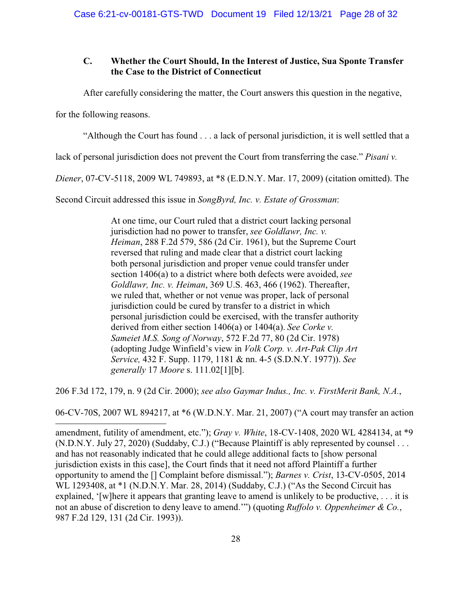## **C. Whether the Court Should, In the Interest of Justice, Sua Sponte Transfer the Case to the District of Connecticut**

After carefully considering the matter, the Court answers this question in the negative,

for the following reasons.

"Although the Court has found . . . a lack of personal jurisdiction, it is well settled that a

lack of personal jurisdiction does not prevent the Court from transferring the case." *Pisani v.*

*Diener*, 07-CV-5118, 2009 WL 749893, at \*8 (E.D.N.Y. Mar. 17, 2009) (citation omitted). The

Second Circuit addressed this issue in *SongByrd, Inc. v. Estate of Grossman*:

At one time, our Court ruled that a district court lacking personal jurisdiction had no power to transfer, *see Goldlawr, Inc. v. Heiman*, 288 F.2d 579, 586 (2d Cir. 1961), but the Supreme Court reversed that ruling and made clear that a district court lacking both personal jurisdiction and proper venue could transfer under section 1406(a) to a district where both defects were avoided, *see Goldlawr, Inc. v. Heiman*, 369 U.S. 463, 466 (1962). Thereafter, we ruled that, whether or not venue was proper, lack of personal jurisdiction could be cured by transfer to a district in which personal jurisdiction could be exercised, with the transfer authority derived from either section 1406(a) or 1404(a). *See Corke v. Sameiet M.S. Song of Norway*, 572 F.2d 77, 80 (2d Cir. 1978) (adopting Judge Winfield's view in *Volk Corp. v. Art-Pak Clip Art Service,* 432 F. Supp. 1179, 1181 & nn. 4-5 (S.D.N.Y. 1977)). *See generally* 17 *Moore* s. 111.02[1][b].

206 F.3d 172, 179, n. 9 (2d Cir. 2000); *see also Gaymar Indus., Inc. v. FirstMerit Bank, N.A.*,

06-CV-70S, 2007 WL 894217, at \*6 (W.D.N.Y. Mar. 21, 2007) ("A court may transfer an action

amendment, futility of amendment, etc."); *Gray v. White*, 18-CV-1408, 2020 WL 4284134, at \*9 (N.D.N.Y. July 27, 2020) (Suddaby, C.J.) ("Because Plaintiff is ably represented by counsel . . . and has not reasonably indicated that he could allege additional facts to [show personal jurisdiction exists in this case], the Court finds that it need not afford Plaintiff a further opportunity to amend the [] Complaint before dismissal."); *Barnes v. Crist*, 13-CV-0505, 2014 WL 1293408, at \*1 (N.D.N.Y. Mar. 28, 2014) (Suddaby, C.J.) ("As the Second Circuit has explained, '[w]here it appears that granting leave to amend is unlikely to be productive, . . . it is not an abuse of discretion to deny leave to amend.'") (quoting *Ruffolo v. Oppenheimer & Co.*, 987 F.2d 129, 131 (2d Cir. 1993)).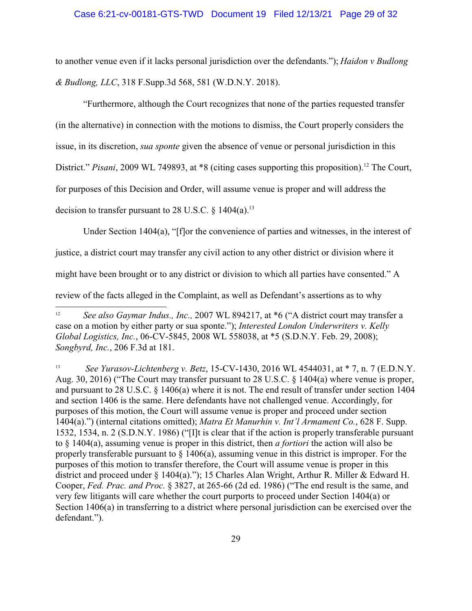#### Case 6:21-cv-00181-GTS-TWD Document 19 Filed 12/13/21 Page 29 of 32

to another venue even if it lacks personal jurisdiction over the defendants."); *Haidon v Budlong & Budlong, LLC*, 318 F.Supp.3d 568, 581 (W.D.N.Y. 2018).

"Furthermore, although the Court recognizes that none of the parties requested transfer

(in the alternative) in connection with the motions to dismiss, the Court properly considers the

issue, in its discretion, *sua sponte* given the absence of venue or personal jurisdiction in this

District." Pisani, 2009 WL 749893, at \*8 (citing cases supporting this proposition).<sup>12</sup> The Court,

for purposes of this Decision and Order, will assume venue is proper and will address the

decision to transfer pursuant to 28 U.S.C.  $\delta$  1404(a).<sup>13</sup>

Under Section 1404(a), "[f]or the convenience of parties and witnesses, in the interest of

justice, a district court may transfer any civil action to any other district or division where it

might have been brought or to any district or division to which all parties have consented." A

review of the facts alleged in the Complaint, as well as Defendant's assertions as to why

<sup>13</sup> *See Yurasov-Lichtenberg v. Betz*, 15-CV-1430, 2016 WL 4544031, at \* 7, n. 7 (E.D.N.Y. Aug. 30, 2016) ("The Court may transfer pursuant to 28 U.S.C. § 1404(a) where venue is proper, and pursuant to 28 U.S.C. § 1406(a) where it is not. The end result of transfer under section 1404 and section 1406 is the same. Here defendants have not challenged venue. Accordingly, for purposes of this motion, the Court will assume venue is proper and proceed under section 1404(a).") (internal citations omitted); *Matra Et Manurhin v. Int'l Armament Co.*, 628 F. Supp. 1532, 1534, n. 2 (S.D.N.Y. 1986) ("[I]t is clear that if the action is properly transferable pursuant to § 1404(a), assuming venue is proper in this district, then *a fortiori* the action will also be properly transferable pursuant to § 1406(a), assuming venue in this district is improper. For the purposes of this motion to transfer therefore, the Court will assume venue is proper in this district and proceed under § 1404(a)."); 15 Charles Alan Wright, Arthur R. Miller & Edward H. Cooper, *Fed. Prac. and Proc.* § 3827, at 265-66 (2d ed. 1986) ("The end result is the same, and very few litigants will care whether the court purports to proceed under Section 1404(a) or Section 1406(a) in transferring to a district where personal jurisdiction can be exercised over the defendant.").

<sup>&</sup>lt;sup>12</sup> *See also Gaymar Indus., Inc., 2007 WL 894217, at \*6 ("A district court may transfer a* case on a motion by either party or sua sponte."); *Interested London Underwriters v. Kelly Global Logistics, Inc.*, 06-CV-5845, 2008 WL 558038, at \*5 (S.D.N.Y. Feb. 29, 2008); *Songbyrd, Inc.*, 206 F.3d at 181.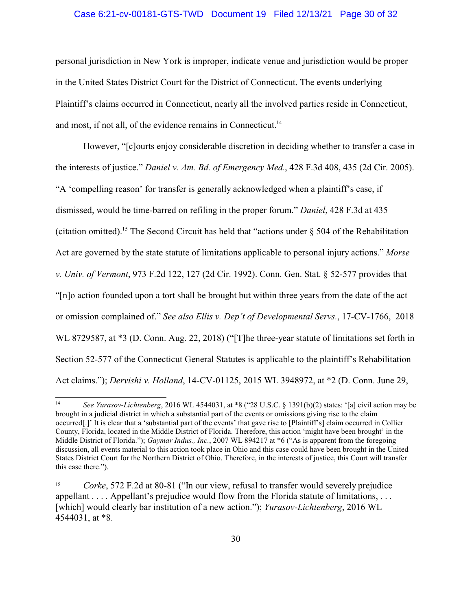#### Case 6:21-cv-00181-GTS-TWD Document 19 Filed 12/13/21 Page 30 of 32

personal jurisdiction in New York is improper, indicate venue and jurisdiction would be proper in the United States District Court for the District of Connecticut. The events underlying Plaintiff's claims occurred in Connecticut, nearly all the involved parties reside in Connecticut, and most, if not all, of the evidence remains in Connecticut.<sup>14</sup>

However, "[c]ourts enjoy considerable discretion in deciding whether to transfer a case in the interests of justice." *Daniel v. Am. Bd. of Emergency Med.*, 428 F.3d 408, 435 (2d Cir. 2005). "A 'compelling reason' for transfer is generally acknowledged when a plaintiff's case, if dismissed, would be time-barred on refiling in the proper forum." *Daniel*, 428 F.3d at 435 (citation omitted).<sup>15</sup> The Second Circuit has held that "actions under  $\S$  504 of the Rehabilitation Act are governed by the state statute of limitations applicable to personal injury actions." *Morse v. Univ. of Vermont*, 973 F.2d 122, 127 (2d Cir. 1992). Conn. Gen. Stat. § 52-577 provides that "[n]o action founded upon a tort shall be brought but within three years from the date of the act or omission complained of." *See also Ellis v. Dep't of Developmental Servs.*, 17-CV-1766, 2018 WL 8729587, at \*3 (D. Conn. Aug. 22, 2018) ("[T]he three-year statute of limitations set forth in Section 52-577 of the Connecticut General Statutes is applicable to the plaintiff's Rehabilitation Act claims."); *Dervishi v. Holland*, 14-CV-01125, 2015 WL 3948972, at \*2 (D. Conn. June 29,

<sup>14</sup> *See Yurasov-Lichtenberg*, 2016 WL 4544031, at \*8 ("28 U.S.C. § 1391(b)(2) states: '[a] civil action may be brought in a judicial district in which a substantial part of the events or omissions giving rise to the claim occurred[.]' It is clear that a 'substantial part of the events' that gave rise to [Plaintiff's] claim occurred in Collier County, Florida, located in the Middle District of Florida. Therefore, this action 'might have been brought' in the Middle District of Florida."); *Gaymar Indus., Inc.*, 2007 WL 894217 at \*6 ("As is apparent from the foregoing discussion, all events material to this action took place in Ohio and this case could have been brought in the United States District Court for the Northern District of Ohio. Therefore, in the interests of justice, this Court will transfer this case there.").

<sup>15</sup> *Corke*, 572 F.2d at 80-81 ("In our view, refusal to transfer would severely prejudice appellant . . . . Appellant's prejudice would flow from the Florida statute of limitations, . . . [which] would clearly bar institution of a new action."); *Yurasov-Lichtenberg*, 2016 WL 4544031, at \*8.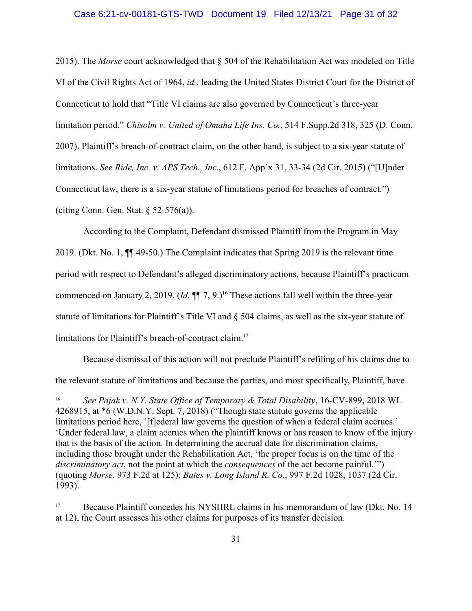#### Case 6:21-cv-00181-GTS-TWD Document 19 Filed 12/13/21 Page 31 of 32

2015). The *Morse* court acknowledged that § 504 of the Rehabilitation Act was modeled on Title VI of the Civil Rights Act of 1964, *id.*, leading the United States District Court for the District of Connecticut to hold that "Title VI claims are also governed by Connecticut's three-year limitation period." *Chisolm v. United of Omaha Life Ins. Co.*, 514 F.Supp.2d 318, 325 (D. Conn. 2007). Plaintiff's breach-of-contract claim, on the other hand, is subject to a six-year statute of limitations. *See Ride, Inc. v. APS Tech., Inc.*, 612 F. App'x 31, 33-34 (2d Cir. 2015) ("[U]nder Connecticut law, there is a six-year statute of limitations period for breaches of contract.") (citing Conn. Gen. Stat.  $\S 52-576(a)$ ).

According to the Complaint, Defendant dismissed Plaintiff from the Program in May 2019. (Dkt. No. 1, ¶¶ 49-50.) The Complaint indicates that Spring 2019 is the relevant time period with respect to Defendant's alleged discriminatory actions, because Plaintiff's practicum commenced on January 2, 2019. (*Id.*  $\P$ ] 7, 9.)<sup>16</sup> These actions fall well within the three-year statute of limitations for Plaintiff's Title VI and § 504 claims, as well as the six-year statute of limitations for Plaintiff's breach-of-contract claim.<sup>17</sup>

Because dismissal of this action will not preclude Plaintiff's refiling of his claims due to the relevant statute of limitations and because the parties, and most specifically, Plaintiff, have

<sup>16</sup> *See Pajak v. N.Y. State Office of Temporary & Total Disability*, 16-CV-899, 2018 WL 4268915, at \*6 (W.D.N.Y. Sept. 7, 2018) ("Though state statute governs the applicable limitations period here, '[f]ederal law governs the question of when a federal claim accrues.' 'Under federal law, a claim accrues when the plaintiff knows or has reason to know of the injury that is the basis of the action. In determining the accrual date for discrimination claims, including those brought under the Rehabilitation Act, 'the proper focus is on the time of the *discriminatory act*, not the point at which the *consequences* of the act become painful.'") (quoting *Morse*, 973 F.2d at 125); *Bates v. Long Island R. Co.*, 997 F.2d 1028, 1037 (2d Cir. 1993).

<sup>&</sup>lt;sup>17</sup> Because Plaintiff concedes his NYSHRL claims in his memorandum of law (Dkt. No. 14 at 12), the Court assesses his other claims for purposes of its transfer decision.